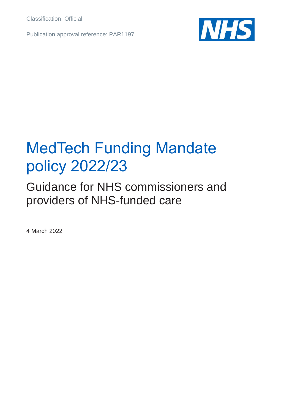Classification: Official

Publication approval reference: PAR1197



# MedTech Funding Mandate policy 2022/23

Guidance for NHS commissioners and providers of NHS-funded care

4 March 2022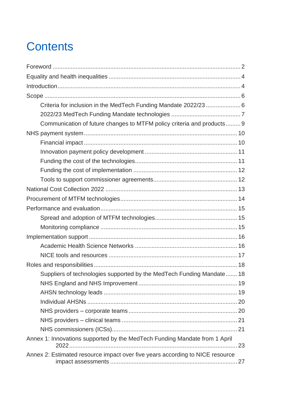## **Contents**

| Criteria for inclusion in the MedTech Funding Mandate 2022/23  6              |  |
|-------------------------------------------------------------------------------|--|
|                                                                               |  |
| Communication of future changes to MTFM policy criteria and products 9        |  |
|                                                                               |  |
|                                                                               |  |
|                                                                               |  |
|                                                                               |  |
|                                                                               |  |
|                                                                               |  |
|                                                                               |  |
|                                                                               |  |
|                                                                               |  |
|                                                                               |  |
|                                                                               |  |
|                                                                               |  |
|                                                                               |  |
|                                                                               |  |
|                                                                               |  |
| Suppliers of technologies supported by the MedTech Funding Mandate 18         |  |
|                                                                               |  |
|                                                                               |  |
|                                                                               |  |
|                                                                               |  |
|                                                                               |  |
|                                                                               |  |
| Annex 1: Innovations supported by the MedTech Funding Mandate from 1 April    |  |
| Annex 2: Estimated resource impact over five years according to NICE resource |  |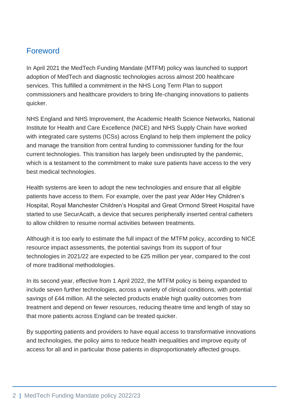## <span id="page-2-0"></span>Foreword

In April 2021 the MedTech Funding Mandate (MTFM) policy was launched to support adoption of MedTech and diagnostic technologies across almost 200 healthcare services. This fulfilled a commitment in the NHS Long Term Plan to support commissioners and healthcare providers to bring life-changing innovations to patients quicker.

NHS England and NHS Improvement, the Academic Health Science Networks, National Institute for Health and Care Excellence (NICE) and NHS Supply Chain have worked with integrated care systems (ICSs) across England to help them implement the policy and manage the transition from central funding to commissioner funding for the four current technologies. This transition has largely been undisrupted by the pandemic, which is a testament to the commitment to make sure patients have access to the very best medical technologies.

Health systems are keen to adopt the new technologies and ensure that all eligible patients have access to them. For example, over the past year Alder Hey Children's Hospital, Royal Manchester Children's Hospital and Great Ormond Street Hospital have started to use SecurAcath, a device that secures peripherally inserted central catheters to allow children to resume normal activities between treatments.

Although it is too early to estimate the full impact of the MTFM policy, according to NICE resource impact assessments, the potential savings from its support of four technologies in 2021/22 are expected to be £25 million per year, compared to the cost of more traditional methodologies.

In its second year, effective from 1 April 2022, the MTFM policy is being expanded to include seven further technologies, across a variety of clinical conditions, with potential savings of £44 million. All the selected products enable high quality outcomes from treatment and depend on fewer resources, reducing theatre time and length of stay so that more patients across England can be treated quicker.

By supporting patients and providers to have equal access to transformative innovations and technologies, the policy aims to reduce health inequalities and improve equity of access for all and in particular those patients in disproportionately affected groups.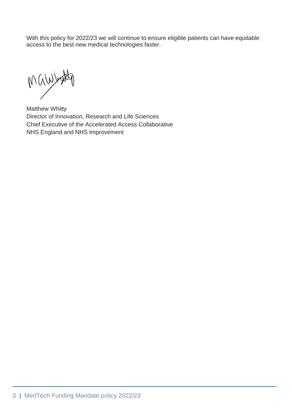With this policy for 2022/23 we will continue to ensure eligible patients can have equitable access to the best new medical technologies faster.

by Mynight

Matthew Whitty Director of Innovation, Research and Life Sciences Chief Executive of the Accelerated Access Collaborative NHS England and NHS Improvement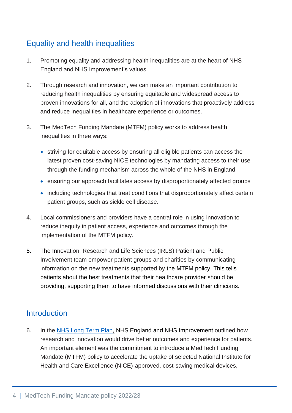## <span id="page-4-0"></span>Equality and health inequalities

- 1. Promoting equality and addressing health inequalities are at the heart of NHS England and NHS Improvement's values.
- 2. Through research and innovation, we can make an important contribution to reducing health inequalities by ensuring equitable and widespread access to proven innovations for all, and the adoption of innovations that proactively address and reduce inequalities in healthcare experience or outcomes.
- 3. The MedTech Funding Mandate (MTFM) policy works to address health inequalities in three ways:
	- striving for equitable access by ensuring all eligible patients can access the latest proven cost-saving NICE technologies by mandating access to their use through the funding mechanism across the whole of the NHS in England
	- ensuring our approach facilitates access by disproportionately affected groups
	- including technologies that treat conditions that disproportionately affect certain patient groups, such as sickle cell disease.
- 4. Local commissioners and providers have a central role in using innovation to reduce inequity in patient access, experience and outcomes through the implementation of the MTFM policy.
- 5. The Innovation, Research and Life Sciences (IRLS) Patient and Public Involvement team empower patient groups and charities by communicating information on the new treatments supported by the MTFM policy. This tells patients about the best treatments that their healthcare provider should be providing, supporting them to have informed discussions with their clinicians.

#### <span id="page-4-1"></span>**Introduction**

6. In the [NHS Long Term Plan,](https://www.longtermplan.nhs.uk/) NHS England and NHS Improvement outlined how research and innovation would drive better outcomes and experience for patients. An important element was the commitment to introduce a MedTech Funding Mandate (MTFM) policy to accelerate the uptake of selected National Institute for Health and Care Excellence (NICE)-approved, cost-saving medical devices,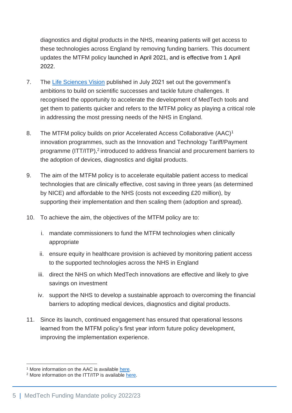diagnostics and digital products in the NHS, meaning patients will get access to these technologies across England by removing funding barriers. This document updates the MTFM policy launched in April 2021, and is effective from 1 April 2022.

- 7. The [Life Sciences Vision](https://assets.publishing.service.gov.uk/government/uploads/system/uploads/attachment_data/file/1013597/life-sciences-vision-2021.pdf) published in July 2021 set out the government's ambitions to build on scientific successes and tackle future challenges. It recognised the opportunity to accelerate the development of MedTech tools and get them to patients quicker and refers to the MTFM policy as playing a critical role in addressing the most pressing needs of the NHS in England.
- 8. The MTFM policy builds on prior Accelerated Access Collaborative (AAC)<sup>1</sup> innovation programmes, such as the Innovation and Technology Tariff/Payment programme (ITT/ITP),<sup>2</sup> introduced to address financial and procurement barriers to the adoption of devices, diagnostics and digital products.
- 9. The aim of the MTFM policy is to accelerate equitable patient access to medical technologies that are clinically effective, cost saving in three years (as determined by NICE) and affordable to the NHS (costs not exceeding £20 million), by supporting their implementation and then scaling them (adoption and spread).
- 10. To achieve the aim, the objectives of the MTFM policy are to:
	- i. mandate commissioners to fund the MTFM technologies when clinically appropriate
	- ii. ensure equity in healthcare provision is achieved by monitoring patient access to the supported technologies across the NHS in England
	- iii. direct the NHS on which MedTech innovations are effective and likely to give savings on investment
	- iv. support the NHS to develop a sustainable approach to overcoming the financial barriers to adopting medical devices, diagnostics and digital products.
- 11. Since its launch, continued engagement has ensured that operational lessons learned from the MTFM policy's first year inform future policy development, improving the implementation experience.

<sup>&</sup>lt;sup>1</sup> More information on the AAC is available [here.](https://www.england.nhs.uk/aac/)

<sup>&</sup>lt;sup>2</sup> More information on the ITT/ITP is available [here.](https://www.england.nhs.uk/ourwork/innovation/innovation-and-technology-payment-itp-2019-20/)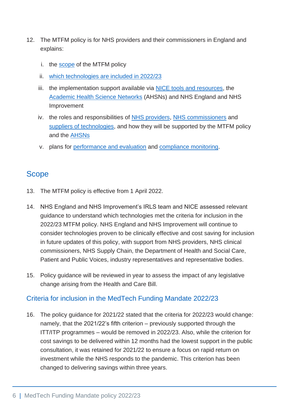- 12. The MTFM policy is for NHS providers and their commissioners in England and explains:
	- i. the [scope](#page-6-2) of the MTFM policy
	- ii. [which technologies are included in 2022/23](#page-23-1)
	- iii. the implementation support available via **NICE** tools and resources, the [Academic Health Science Networks](#page-16-2) (AHSNs) and NHS England and NHS Improvement
	- iv. the roles and responsibilities of [NHS providers,](#page-20-2) [NHS commissioners](#page-21-2) and [suppliers of technologies,](#page-18-2) and how they will be supported by the MTFM policy and the [AHSNs](#page-19-2)
	- v. plans for [performance and evaluation](#page-15-3) and [compliance monitoring.](#page-15-4)

#### <span id="page-6-2"></span><span id="page-6-0"></span>**Scope**

- 13. The MTFM policy is effective from 1 April 2022.
- 14. NHS England and NHS Improvement's IRLS team and NICE assessed relevant guidance to understand which technologies met the criteria for inclusion in the 2022/23 MTFM policy. NHS England and NHS Improvement will continue to consider technologies proven to be clinically effective and cost saving for inclusion in future updates of this policy, with support from NHS providers, NHS clinical commissioners, NHS Supply Chain, the Department of Health and Social Care, Patient and Public Voices, industry representatives and representative bodies.
- 15. Policy guidance will be reviewed in year to assess the impact of any legislative change arising from the Health and Care Bill.

#### <span id="page-6-3"></span><span id="page-6-1"></span>Criteria for inclusion in the MedTech Funding Mandate 2022/23

16. The policy guidance for 2021/22 stated that the criteria for 2022/23 would change: namely, that the 2021/22's fifth criterion – previously supported through the ITT/ITP programmes – would be removed in 2022/23. Also, while the criterion for cost savings to be delivered within 12 months had the lowest support in the public consultation, it was retained for 2021/22 to ensure a focus on rapid return on investment while the NHS responds to the pandemic. This criterion has been changed to delivering savings within three years.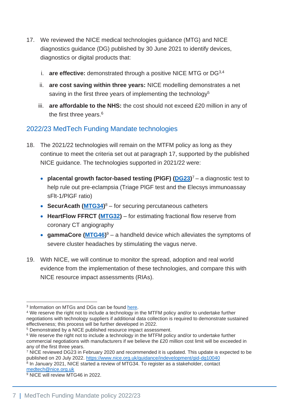- 17. We reviewed the NICE medical technologies guidance (MTG) and NICE diagnostics guidance (DG) published by 30 June 2021 to identify devices, diagnostics or digital products that:
	- i. **are effective:** demonstrated through a positive NICE MTG or DG3,4
	- ii. **are cost saving within three years:** NICE modelling demonstrates a net saving in the first three years of implementing the technology<sup>5</sup>
	- iii. **are affordable to the NHS:** the cost should not exceed £20 million in any of the first three years.<sup>6</sup>

#### <span id="page-7-0"></span>2022/23 MedTech Funding Mandate technologies

- 18. The 2021/22 technologies will remain on the MTFM policy as long as they continue to meet the criteria set out at paragraph 17, supported by the published NICE guidance. The technologies supported in 2021/22 were:
	- **placental growth factor-based testing (PIGF) [\(DG23\)](https://www.nice.org.uk/guidance/dg23)<sup>7</sup> a diagnostic test to** help rule out pre-eclampsia (Triage PlGF test and the Elecsys immunoassay sFlt-1/PlGF ratio)
	- **SecurAcath [\(MTG34\)](https://www.nice.org.uk/guidance/mtg34)** <sup>8</sup> for securing percutaneous catheters
	- **HeartFlow FFRCT [\(MTG32\)](https://www.nice.org.uk/guidance/mtg32)**  for estimating fractional flow reserve from coronary CT angiography
	- **gammaCore [\(MTG46\)](https://www.nice.org.uk/guidance/mtg46)**<sup>9</sup> a handheld device which alleviates the symptoms of severe cluster headaches by stimulating the vagus nerve.
- 19. With NICE, we will continue to monitor the spread, adoption and real world evidence from the implementation of these technologies, and compare this with NICE resource impact assessments (RIAs).

<sup>&</sup>lt;sup>3</sup> Information on MTGs and DGs can be found [here.](https://www.nice.org.uk/guidance)

<sup>4</sup> We reserve the right not to include a technology in the MTFM policy and/or to undertake further negotiations with technology suppliers if additional data collection is required to demonstrate sustained effectiveness; this process will be further developed in 2022.

<sup>5</sup> Demonstrated by a NICE published resource impact assessment.

<sup>&</sup>lt;sup>6</sup> We reserve the right not to include a technology in the MTFM policy and/or to undertake further commercial negotiations with manufacturers if we believe the £20 million cost limit will be exceeded in any of the first three years.

<sup>7</sup> NICE reviewed DG23 in February 2020 and recommended it is updated. This update is expected to be published on 20 July 2022.<https://www.nice.org.uk/guidance/indevelopment/gid-dg10040> <sup>8</sup> In January 2021, NICE started a review of MTG34. To register as a stakeholder, contact

[medtech@nice.org.uk](mailto:medtech@nice.org.uk)

<sup>&</sup>lt;sup>9</sup> NICE will review MTG46 in 2022.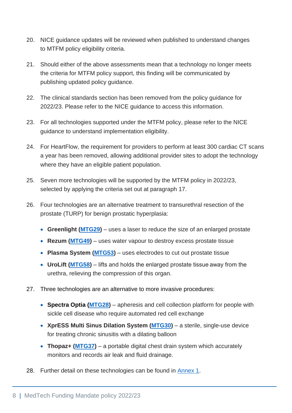- 20. NICE guidance updates will be reviewed when published to understand changes to MTFM policy eligibility criteria.
- 21. Should either of the above assessments mean that a technology no longer meets the criteria for MTFM policy support, this finding will be communicated by publishing updated policy guidance.
- 22. The clinical standards section has been removed from the policy guidance for 2022/23. Please refer to the NICE guidance to access this information.
- 23. For all technologies supported under the MTFM policy, please refer to the NICE guidance to understand implementation eligibility.
- 24. For HeartFlow, the requirement for providers to perform at least 300 cardiac CT scans a year has been removed, allowing additional provider sites to adopt the technology where they have an eligible patient population.
- 25. Seven more technologies will be supported by the MTFM policy in 2022/23, selected by applying the criteria set out at paragraph 17.
- 26. Four technologies are an alternative treatment to transurethral resection of the prostate (TURP) for benign prostatic hyperplasia:
	- **Greenlight [\(MTG29\)](https://www.nice.org.uk/guidance/mtg29)** uses a laser to reduce the size of an enlarged prostate
	- **Rezum [\(MTG49\)](https://www.nice.org.uk/guidance/mtg49)** uses water vapour to destroy excess prostate tissue
	- **Plasma System [\(MTG53\)](https://www.nice.org.uk/guidance/mtg53)** uses electrodes to cut out prostate tissue
	- **UroLift [\(MTG58\)](https://www.nice.org.uk/guidance/mtg58)** lifts and holds the enlarged prostate tissue away from the urethra, relieving the compression of this organ.
- 27. Three technologies are an alternative to more invasive procedures:
	- **Spectra Optia [\(MTG28\)](https://www.nice.org.uk/guidance/mtg28)** apheresis and cell collection platform for people with sickle cell disease who require automated red cell exchange
	- **XprESS Multi Sinus Dilation System [\(MTG30\)](https://www.nice.org.uk/guidance/mtg30)**  a sterile, single-use device for treating chronic sinusitis with a dilating balloon
	- **Thopaz+ [\(MTG37\)](https://www.nice.org.uk/guidance/mtg37)** a portable digital chest drain system which accurately monitors and records air leak and fluid drainage.
- 28. Further detail on these technologies can be found in [Annex 1.](#page-23-1)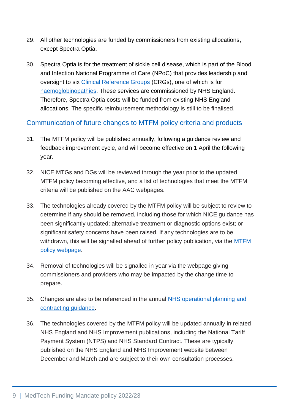- 29. All other technologies are funded by commissioners from existing allocations, except Spectra Optia.
- 30. Spectra Optia is for the treatment of sickle cell disease, which is part of the Blood and Infection National Programme of Care (NPoC) that provides leadership and oversight to six [Clinical Reference Groups](https://www.england.nhs.uk/commissioning/spec-services/npc-crg/blood-and-infection-group-f/f05/) (CRGs), one of which is for [haemoglobinopathies.](https://www.england.nhs.uk/commissioning/spec-services/npc-crg/blood-and-infection-group-f/f05/) These services are commissioned by NHS England. Therefore, Spectra Optia costs will be funded from existing NHS England allocations. The specific reimbursement methodology is still to be finalised.

#### <span id="page-9-0"></span>Communication of future changes to MTFM policy criteria and products

- 31. The MTFM policy will be published annually, following a guidance review and feedback improvement cycle, and will become effective on 1 April the following year.
- 32. NICE MTGs and DGs will be reviewed through the year prior to the updated MTFM policy becoming effective, and a list of technologies that meet the MTFM criteria will be published on the AAC webpages.
- 33. The technologies already covered by the MTFM policy will be subject to review to determine if any should be removed, including those for which NICE guidance has been significantly updated; alternative treatment or diagnostic options exist; or significant safety concerns have been raised. If any technologies are to be withdrawn, this will be signalled ahead of further policy publication, via the [MTFM](https://www.england.nhs.uk/aac/what-we-do/how-can-the-aac-help-me/the-medtech-funding-mandate/) [policy webpage.](https://www.england.nhs.uk/aac/what-we-do/how-can-the-aac-help-me/the-medtech-funding-mandate/)
- 34. Removal of technologies will be signalled in year via the webpage giving commissioners and providers who may be impacted by the change time to prepare.
- 35. Changes are also to be referenced in the annual [NHS operational planning and](https://www.england.nhs.uk/operational-planning-and-contracting/)  [contracting guidance.](https://www.england.nhs.uk/operational-planning-and-contracting/)
- 36. The technologies covered by the MTFM policy will be updated annually in related NHS England and NHS Improvement publications, including the National Tariff Payment System (NTPS) and NHS Standard Contract. These are typically published on the NHS England and NHS Improvement website between December and March and are subject to their own consultation processes.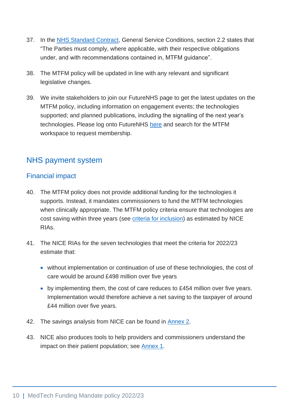- 37. In the [NHS Standard Contract,](https://www.england.nhs.uk/nhs-standard-contract/) General Service Conditions, section 2.2 states that "The Parties must comply, where applicable, with their respective obligations under, and with recommendations contained in, MTFM guidance".
- 38. The MTFM policy will be updated in line with any relevant and significant legislative changes.
- 39. We invite stakeholders to join our FutureNHS page to get the latest updates on the MTFM policy, including information on engagement events; the technologies supported; and planned publications, including the signalling of the next year's technologies. Please log onto FutureNHS [here](https://future.nhs.uk/) and search for the MTFM workspace to request membership.

## <span id="page-10-0"></span>NHS payment system

#### <span id="page-10-1"></span>Financial impact

- 40. The MTFM policy does not provide additional funding for the technologies it supports. Instead, it mandates commissioners to fund the MTFM technologies when clinically appropriate. The MTFM policy criteria ensure that technologies are cost saving within three years (see [criteria for inclusion\)](#page-6-3) as estimated by NICE RIAs.
- 41. The NICE RIAs for the seven technologies that meet the criteria for 2022/23 estimate that:
	- without implementation or continuation of use of these technologies, the cost of care would be around £498 million over five years
	- by implementing them, the cost of care reduces to £454 million over five years. Implementation would therefore achieve a net saving to the taxpayer of around £44 million over five years.
- 42. The savings analysis from NICE can be found in [Annex 2.](#page-27-1)
- 43. NICE also produces tools to help providers and commissioners understand the impact on their patient population; see [Annex 1.](#page-23-1)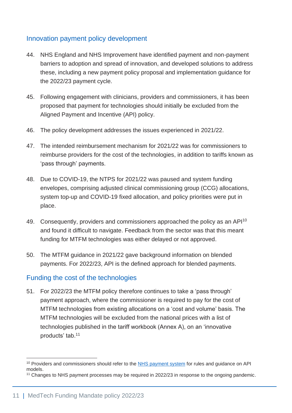#### <span id="page-11-0"></span>Innovation payment policy development

- 44. NHS England and NHS Improvement have identified payment and non-payment barriers to adoption and spread of innovation, and developed solutions to address these, including a new payment policy proposal and implementation guidance for the 2022/23 payment cycle.
- 45. Following engagement with clinicians, providers and commissioners, it has been proposed that payment for technologies should initially be excluded from the Aligned Payment and Incentive (API) policy.
- 46. The policy development addresses the issues experienced in 2021/22.
- 47. The intended reimbursement mechanism for 2021/22 was for commissioners to reimburse providers for the cost of the technologies, in addition to tariffs known as 'pass through' payments.
- 48. Due to COVID-19, the NTPS for 2021/22 was paused and system funding envelopes, comprising adjusted clinical commissioning group (CCG) allocations, system top-up and COVID-19 fixed allocation, and policy priorities were put in place.
- 49. Consequently, providers and commissioners approached the policy as an API<sup>10</sup> and found it difficult to navigate. Feedback from the sector was that this meant funding for MTFM technologies was either delayed or not approved.
- 50. The MTFM guidance in 2021/22 gave background information on blended payments. For 2022/23, API is the defined approach for blended payments.

#### <span id="page-11-1"></span>Funding the cost of the technologies

51. For 2022/23 the MTFM policy therefore continues to take a 'pass through' payment approach, where the commissioner is required to pay for the cost of MTFM technologies from existing allocations on a 'cost and volume' basis. The MTFM technologies will be excluded from the national prices with a list of technologies published in the tariff workbook (Annex A), on an 'innovative products' tab.<sup>11</sup>

<sup>&</sup>lt;sup>10</sup> Providers and commissioners should refer to the [NHS payment system](https://www.england.nhs.uk/pay-syst/) for rules and guidance on API models.

<sup>&</sup>lt;sup>11</sup> Changes to NHS payment processes may be required in 2022/23 in response to the ongoing pandemic.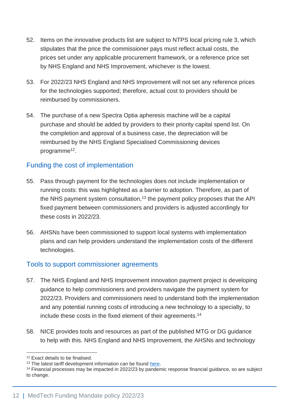- 52. Items on the innovative products list are subject to NTPS local pricing rule 3, which stipulates that the price the commissioner pays must reflect actual costs, the prices set under any applicable procurement framework, or a reference price set by NHS England and NHS Improvement, whichever is the lowest.
- 53. For 2022/23 NHS England and NHS Improvement will not set any reference prices for the technologies supported; therefore, actual cost to providers should be reimbursed by commissioners.
- 54. The purchase of a new Spectra Optia apheresis machine will be a capital purchase and should be added by providers to their priority capital spend list. On the completion and approval of a business case, the depreciation will be reimbursed by the NHS England Specialised Commissioning devices programme<sup>12</sup>.

#### <span id="page-12-0"></span>Funding the cost of implementation

- 55. Pass through payment for the technologies does not include implementation or running costs: this was highlighted as a barrier to adoption. Therefore, as part of the NHS payment system consultation,<sup>13</sup> the payment policy proposes that the API fixed payment between commissioners and providers is adjusted accordingly for these costs in 2022/23.
- 56. AHSNs have been commissioned to support local systems with implementation plans and can help providers understand the implementation costs of the different technologies.

#### <span id="page-12-1"></span>Tools to support commissioner agreements

- 57. The NHS England and NHS Improvement innovation payment project is developing guidance to help commissioners and providers navigate the payment system for 2022/23. Providers and commissioners need to understand both the implementation and any potential running costs of introducing a new technology to a specialty, to include these costs in the fixed element of their agreements. 14
- 58. NICE provides tools and resources as part of the published MTG or DG guidance to help with this. NHS England and NHS Improvement, the AHSNs and technology

<sup>&</sup>lt;sup>12</sup> Exact details to be finalised.

<sup>&</sup>lt;sup>13</sup> The latest tariff development information can be found [here.](https://www.england.nhs.uk/pay-syst/national-tariff/developing-the-national-tariff/)

<sup>14</sup> Financial processes may be impacted in 2022/23 by pandemic response financial guidance, so are subject to change.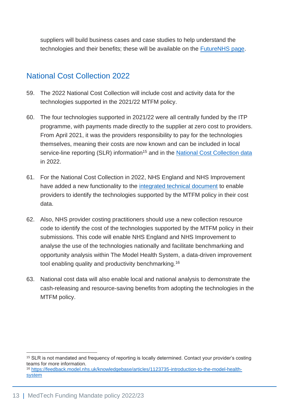suppliers will build business cases and case studies to help understand the technologies and their benefits; these will be available on the [FutureNHS page.](https://future.nhs.uk/Home/grouphome)

## <span id="page-13-0"></span>National Cost Collection 2022

- 59. The 2022 National Cost Collection will include cost and activity data for the technologies supported in the 2021/22 MTFM policy.
- 60. The four technologies supported in 2021/22 were all centrally funded by the ITP programme, with payments made directly to the supplier at zero cost to providers. From April 2021, it was the providers responsibility to pay for the technologies themselves, meaning their costs are now known and can be included in local service-line reporting (SLR) information<sup>15</sup> and in the [National Cost Collection data](https://www.england.nhs.uk/national-cost-collection/) in 2022.
- 61. For the National Cost Collection in 2022, NHS England and NHS Improvement have added a new functionality to the [integrated technical document](https://www.england.nhs.uk/publication/approved-costing-guidance-2021-integrated-prescribed-guidance-and-tools/) to enable providers to identify the technologies supported by the MTFM policy in their cost data.
- 62. Also, NHS provider costing practitioners should use a new collection resource code to identify the cost of the technologies supported by the MTFM policy in their submissions. This code will enable NHS England and NHS Improvement to analyse the use of the technologies nationally and facilitate benchmarking and opportunity analysis within The Model Health System, a data-driven improvement tool enabling quality and productivity benchmarking.<sup>16</sup>
- 63. National cost data will also enable local and national analysis to demonstrate the cash-releasing and resource-saving benefits from adopting the technologies in the MTFM policy.

<sup>15</sup> SLR is not mandated and frequency of reporting is locally determined. Contact your provider's costing teams for more information.

<sup>16</sup> [https://feedback.model.nhs.uk/knowledgebase/articles/1123735-introduction-to-the-model-health](https://feedback.model.nhs.uk/knowledgebase/articles/1123735-introduction-to-the-model-health-system)**[system](https://feedback.model.nhs.uk/knowledgebase/articles/1123735-introduction-to-the-model-health-system)**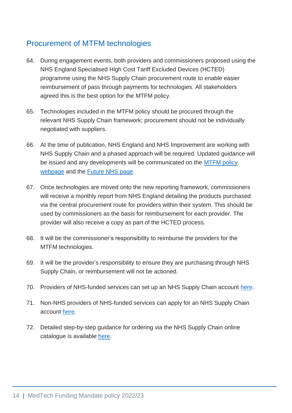## <span id="page-14-0"></span>Procurement of MTFM technologies

- 64. During engagement events, both providers and commissioners proposed using the NHS England Specialised High Cost Tariff Excluded Devices (HCTED) programme using the NHS Supply Chain procurement route to enable easier reimbursement of pass through payments for technologies. All stakeholders agreed this is the best option for the MTFM policy.
- 65. Technologies included in the MTFM policy should be procured through the relevant NHS Supply Chain framework; procurement should not be individually negotiated with suppliers.
- 66. At the time of publication, NHS England and NHS Improvement are working with NHS Supply Chain and a phased approach will be required. Updated guidance will be issued and any developments will be communicated on the [MTFM policy](https://www.england.nhs.uk/aac/what-we-do/how-can-the-aac-help-me/the-medtech-funding-mandate/) [webpage](https://www.england.nhs.uk/aac/what-we-do/how-can-the-aac-help-me/the-medtech-funding-mandate/) and the [Future NHS page.](https://future.nhs.uk/Home/grouphome)
- 67. Once technologies are moved onto the new reporting framework, commissioners will receive a monthly report from NHS England detailing the products purchased via the central procurement route for providers within their system. This should be used by commissioners as the basis for reimbursement for each provider. The provider will also receive a copy as part of the HCTED process.
- 68. It will be the commissioner's responsibility to reimburse the providers for the MTFM technologies.
- 69. It will be the provider's responsibility to ensure they are purchasing through NHS Supply Chain, or reimbursement will not be actioned.
- 70. Providers of NHS-funded services can set up an NHS Supply Chain account [here.](https://www.supplychain.nhs.uk/customer-service/create/catalogue-and-ordering/)
- 71. Non-NHS providers of NHS-funded services can apply for an NHS Supply Chain account [here.](https://www.supplychain.nhs.uk/customer-service/create/private-customers/)
- 72. Detailed step-by-step guidance for ordering via the NHS Supply Chain online catalogue is available [here.](https://wwwmedia.supplychain.nhs.uk/media/UG-Online-Catalogue-Guidance-Notes-15-august-2019.pdf)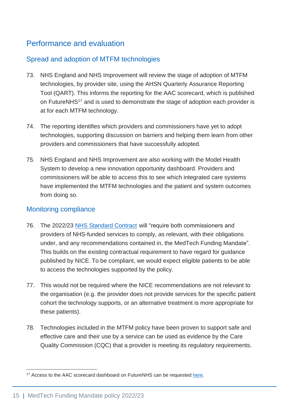## <span id="page-15-3"></span><span id="page-15-0"></span>Performance and evaluation

#### <span id="page-15-1"></span>Spread and adoption of MTFM technologies

- 73. NHS England and NHS Improvement will review the stage of adoption of MTFM technologies, by provider site, using the AHSN Quarterly Assurance Reporting Tool (QART). This informs the reporting for the AAC scorecard, which is published on FutureNHS<sup>17</sup> and is used to demonstrate the stage of adoption each provider is at for each MTFM technology.
- 74. The reporting identifies which providers and commissioners have yet to adopt technologies, supporting discussion on barriers and helping them learn from other providers and commissioners that have successfully adopted.
- 75. NHS England and NHS Improvement are also working with the Model Health System to develop a new innovation opportunity dashboard. Providers and commissioners will be able to access this to see which integrated care systems have implemented the MTFM technologies and the patient and system outcomes from doing so.

#### <span id="page-15-4"></span><span id="page-15-2"></span>Monitoring compliance

- 76. The 2022/23 [NHS Standard Contract](https://www.england.nhs.uk/nhs-standard-contract/22-23/) will "require both commissioners and providers of NHS-funded services to comply, as relevant, with their obligations under, and any recommendations contained in, the MedTech Funding Mandate". This builds on the existing contractual requirement to have regard for guidance published by NICE. To be compliant, we would expect eligible patients to be able to access the technologies supported by the policy.
- 77. This would not be required where the NICE recommendations are not relevant to the organisation (e.g. the provider does not provide services for the specific patient cohort the technology supports, or an alternative treatment is more appropriate for these patients).
- 78. Technologies included in the MTFM policy have been proven to support safe and effective care and their use by a service can be used as evidence by the Care Quality Commission (CQC) that a provider is meeting its regulatory requirements.

<sup>&</sup>lt;sup>17</sup> Access to the AAC scorecard dashboard on FutureNHS can be requested [here.](https://future.nhs.uk/irls/grouphome)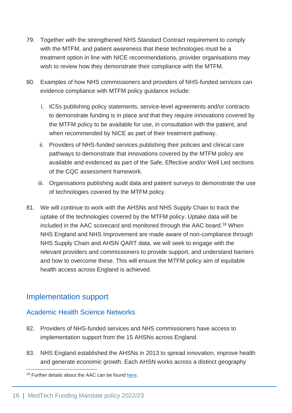- 79. Together with the strengthened NHS Standard Contract requirement to comply with the MTFM, and patient awareness that these technologies must be a treatment option in line with NICE recommendations, provider organisations may wish to review how they demonstrate their compliance with the MTFM.
- 80. Examples of how NHS commissioners and providers of NHS-funded services can evidence compliance with MTFM policy guidance include:
	- i. ICSs publishing policy statements, service-level agreements and/or contracts to demonstrate funding is in place and that they require innovations covered by the MTFM policy to be available for use, in consultation with the patient, and when recommended by NICE as part of their treatment pathway.
	- ii. Providers of NHS-funded services publishing their policies and clinical care pathways to demonstrate that innovations covered by the MTFM policy are available and evidenced as part of the Safe, Effective and/or Well Led sections of the CQC assessment framework.
	- iii. Organisations publishing audit data and patient surveys to demonstrate the use of technologies covered by the MTFM policy.
- 81. We will continue to work with the AHSNs and NHS Supply Chain to track the uptake of the technologies covered by the MTFM policy. Uptake data will be included in the AAC scorecard and monitored through the AAC board.<sup>18</sup> When NHS England and NHS Improvement are made aware of non-compliance through NHS Supply Chain and AHSN QART data, we will seek to engage with the relevant providers and commissioners to provide support, and understand barriers and how to overcome these. This will ensure the MTFM policy aim of equitable health access across England is achieved.

## <span id="page-16-0"></span>Implementation support

#### <span id="page-16-2"></span><span id="page-16-1"></span>Academic Health Science Networks

- 82. Providers of NHS-funded services and NHS commissioners have access to implementation support from the 15 AHSNs across England.
- 83. NHS England established the AHSNs in 2013 to spread innovation, improve health and generate economic growth. Each AHSN works across a distinct geography

<sup>&</sup>lt;sup>18</sup> Further details about the AAC can be found [here.](https://www.england.nhs.uk/aac/what-we-do/how-can-the-aac-help-me/the-medtech-funding-mandate/)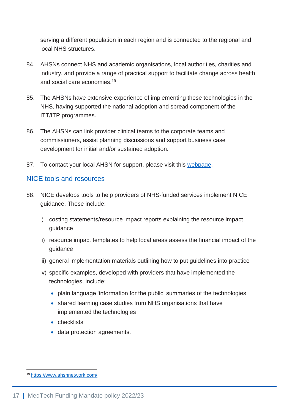serving a different population in each region and is connected to the regional and local NHS structures.

- 84. AHSNs connect NHS and academic organisations, local authorities, charities and industry, and provide a range of practical support to facilitate change across health and social care economies.<sup>19</sup>
- 85. The AHSNs have extensive experience of implementing these technologies in the NHS, having supported the national adoption and spread component of the ITT/ITP programmes.
- 86. The AHSNs can link provider clinical teams to the corporate teams and commissioners, assist planning discussions and support business case development for initial and/or sustained adoption.
- 87. To contact your local AHSN for support, please visit this [webpage.](https://www.ahsnnetwork.com/contact-the-ahsn-network)

#### <span id="page-17-1"></span><span id="page-17-0"></span>NICE tools and resources

- 88. NICE develops tools to help providers of NHS-funded services implement NICE guidance. These include:
	- i) costing statements/resource impact reports explaining the resource impact guidance
	- ii) resource impact templates to help local areas assess the financial impact of the guidance
	- iii) general implementation materials outlining how to put guidelines into practice
	- iv) specific examples, developed with providers that have implemented the technologies, include:
		- plain language 'information for the public' summaries of the technologies
		- shared learning case studies from NHS organisations that have implemented the technologies
		- checklists
		- data protection agreements.

<sup>19</sup> <https://www.ahsnnetwork.com/>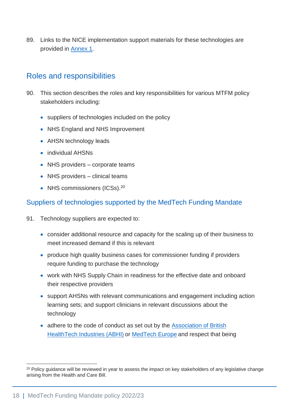89. Links to the NICE implementation support materials for these technologies are provided in [Annex 1.](#page-23-1)

### <span id="page-18-0"></span>Roles and responsibilities

- 90. This section describes the roles and key responsibilities for various MTFM policy stakeholders including:
	- suppliers of technologies included on the policy
	- NHS England and NHS Improvement
	- AHSN technology leads
	- individual AHSNs
	- NHS providers corporate teams
	- NHS providers clinical teams
	- NHS commissioners (ICSs).<sup>20</sup>

#### <span id="page-18-2"></span><span id="page-18-1"></span>Suppliers of technologies supported by the MedTech Funding Mandate

- 91. Technology suppliers are expected to:
	- consider additional resource and capacity for the scaling up of their business to meet increased demand if this is relevant
	- produce high quality business cases for commissioner funding if providers require funding to purchase the technology
	- work with NHS Supply Chain in readiness for the effective date and onboard their respective providers
	- support AHSNs with relevant communications and engagement including action learning sets; and support clinicians in relevant discussions about the technology
	- adhere to the code of conduct as set out by the **Association of British** [HealthTech Industries \(ABHI\)](https://www.abhi.org.uk/) or [MedTech Europe](https://www.medtecheurope.org/resource-library/medtech-europe-code-of-ethical-business-practice/) and respect that being

<sup>&</sup>lt;sup>20</sup> Policy guidance will be reviewed in year to assess the impact on key stakeholders of any legislative change arising from the Health and Care Bill.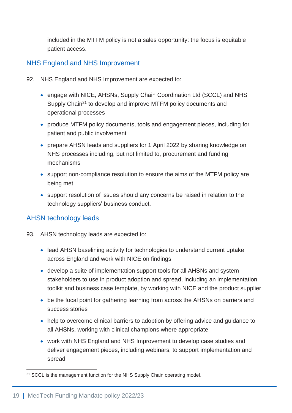included in the MTFM policy is not a sales opportunity: the focus is equitable patient access.

#### <span id="page-19-0"></span>NHS England and NHS Improvement

- 92. NHS England and NHS Improvement are expected to:
	- engage with NICE, AHSNs, Supply Chain Coordination Ltd (SCCL) and NHS Supply Chain<sup>21</sup> to develop and improve MTFM policy documents and operational processes
	- produce MTFM policy documents, tools and engagement pieces, including for patient and public involvement
	- prepare AHSN leads and suppliers for 1 April 2022 by sharing knowledge on NHS processes including, but not limited to, procurement and funding mechanisms
	- support non-compliance resolution to ensure the aims of the MTFM policy are being met
	- support resolution of issues should any concerns be raised in relation to the technology suppliers' business conduct.

#### <span id="page-19-2"></span><span id="page-19-1"></span>AHSN technology leads

- 93. AHSN technology leads are expected to:
	- lead AHSN baselining activity for technologies to understand current uptake across England and work with NICE on findings
	- develop a suite of implementation support tools for all AHSNs and system stakeholders to use in product adoption and spread, including an implementation toolkit and business case template, by working with NICE and the product supplier
	- be the focal point for gathering learning from across the AHSNs on barriers and success stories
	- help to overcome clinical barriers to adoption by offering advice and guidance to all AHSNs, working with clinical champions where appropriate
	- work with NHS England and NHS Improvement to develop case studies and deliver engagement pieces, including webinars, to support implementation and spread

<sup>&</sup>lt;sup>21</sup> SCCL is the management function for the NHS Supply Chain operating model.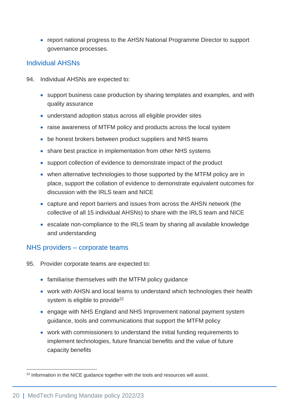• report national progress to the AHSN National Programme Director to support governance processes.

#### <span id="page-20-0"></span>Individual AHSNs

- 94. Individual AHSNs are expected to:
	- support business case production by sharing templates and examples, and with quality assurance
	- understand adoption status across all eligible provider sites
	- raise awareness of MTFM policy and products across the local system
	- be honest brokers between product suppliers and NHS teams
	- share best practice in implementation from other NHS systems
	- support collection of evidence to demonstrate impact of the product
	- when alternative technologies to those supported by the MTFM policy are in place, support the collation of evidence to demonstrate equivalent outcomes for discussion with the IRLS team and NICE
	- capture and report barriers and issues from across the AHSN network (the collective of all 15 individual AHSNs) to share with the IRLS team and NICE
	- escalate non-compliance to the IRLS team by sharing all available knowledge and understanding

#### <span id="page-20-2"></span><span id="page-20-1"></span>NHS providers – corporate teams

- 95. Provider corporate teams are expected to:
	- familiarise themselves with the MTFM policy guidance
	- work with AHSN and local teams to understand which technologies their health system is eligible to provide<sup>22</sup>
	- engage with NHS England and NHS Improvement national payment system guidance, tools and communications that support the MTFM policy
	- work with commissioners to understand the initial funding requirements to implement technologies, future financial benefits and the value of future capacity benefits

<sup>&</sup>lt;sup>22</sup> Information in the NICE guidance together with the tools and resources will assist.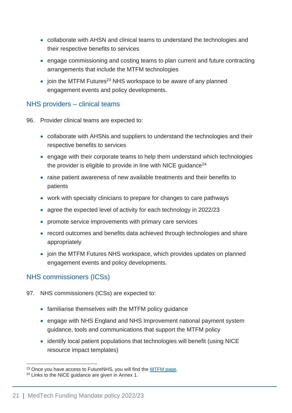- collaborate with AHSN and clinical teams to understand the technologies and their respective benefits to services
- engage commissioning and costing teams to plan current and future contracting arrangements that include the MTFM technologies
- join the MTFM Futures<sup>23</sup> NHS workspace to be aware of any planned engagement events and policy developments.

#### <span id="page-21-0"></span>NHS providers – clinical teams

- 96. Provider clinical teams are expected to:
	- collaborate with AHSNs and suppliers to understand the technologies and their respective benefits to services
	- engage with their corporate teams to help them understand which technologies the provider is eligible to provide in line with NICE guidance<sup>24</sup>
	- raise patient awareness of new available treatments and their benefits to patients
	- work with specialty clinicians to prepare for changes to care pathways
	- agree the expected level of activity for each technology in 2022/23
	- promote service improvements with primary care services
	- record outcomes and benefits data achieved through technologies and share appropriately
	- join the MTFM Futures NHS workspace, which provides updates on planned engagement events and policy developments.

#### <span id="page-21-2"></span><span id="page-21-1"></span>NHS commissioners (ICSs)

- 97. NHS commissioners (ICSs) are expected to:
	- familiarise themselves with the MTFM policy guidance
	- engage with NHS England and NHS Improvement national payment system guidance, tools and communications that support the MTFM policy
	- identify local patient populations that technologies will benefit (using NICE resource impact templates)

<sup>&</sup>lt;sup>23</sup> Once you have access to FutureNHS, you will find the [MTFM page.](https://future.nhs.uk/MTFM/grouphome)

<sup>24</sup> Links to the NICE guidance are given in Annex 1.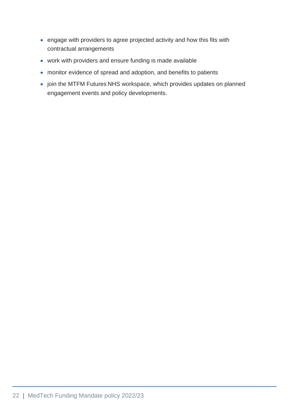- engage with providers to agree projected activity and how this fits with contractual arrangements
- work with providers and ensure funding is made available
- monitor evidence of spread and adoption, and benefits to patients
- join the MTFM Futures NHS workspace, which provides updates on planned engagement events and policy developments.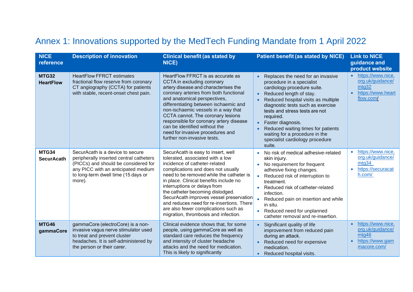## Annex 1: Innovations supported by the MedTech Funding Mandate from 1 April 2022

<span id="page-23-1"></span><span id="page-23-0"></span>

| <b>NICE</b><br>reference         | <b>Description of innovation</b>                                                                                                                                                                            | <b>Clinical benefit (as stated by</b><br>NICE)                                                                                                                                                                                                                                                                                                                                                                                                                                  | <b>Patient benefit (as stated by NICE)</b>                                                                                                                                                                                                                                                                                                                                                    | <b>Link to NICE</b><br>guidance and<br>product website                                        |
|----------------------------------|-------------------------------------------------------------------------------------------------------------------------------------------------------------------------------------------------------------|---------------------------------------------------------------------------------------------------------------------------------------------------------------------------------------------------------------------------------------------------------------------------------------------------------------------------------------------------------------------------------------------------------------------------------------------------------------------------------|-----------------------------------------------------------------------------------------------------------------------------------------------------------------------------------------------------------------------------------------------------------------------------------------------------------------------------------------------------------------------------------------------|-----------------------------------------------------------------------------------------------|
| <b>MTG32</b><br><b>HeartFlow</b> | <b>HeartFlow FFRCT estimates</b><br>fractional flow reserve from coronary<br>CT angiography (CCTA) for patients<br>with stable, recent-onset chest pain.                                                    | HeartFlow FFRCT is as accurate as<br>CCTA in excluding coronary<br>artery disease and characterises the<br>coronary arteries from both functional<br>and anatomical perspectives,<br>differentiating between ischaemic and<br>non-ischaemic vessels in a way that<br>CCTA cannot. The coronary lesions<br>responsible for coronary artery disease<br>can be identified without the<br>need for invasive procedures and<br>further non-invasive tests.                           | Replaces the need for an invasive<br>procedure in a specialist<br>cardiology procedure suite.<br>Reduced length of stay.<br>Reduced hospital visits as multiple<br>diagnostic tests such as exercise<br>tests and stress tests are not<br>required.<br>Faster diagnosis.<br>Reduced waiting times for patients<br>waiting for a procedure in the<br>specialist cardiology procedure<br>suite. | https://www.nice.<br>$\bullet$<br>org.uk/guidance/<br>mtg32<br>https://www.heart<br>flow.com/ |
| MTG34<br><b>SecurAcath</b>       | SecurAcath is a device to secure<br>peripherally inserted central catheters<br>(PICCs) and should be considered for<br>any PICC with an anticipated medium<br>to long-term dwell time (15 days or<br>more). | SecurAcath is easy to insert, well<br>tolerated, associated with a low<br>incidence of catheter-related<br>complications and does not usually<br>need to be removed while the catheter is<br>in place. Clinical benefits include no<br>interruptions or delays from<br>the catheter becoming dislodged.<br>SecurAcath improves vessel preservation<br>and reduces need for re-insertions. There<br>are also fewer complications such as<br>migration, thrombosis and infection. | No risk of medical adhesive-related<br>skin injury.<br>No requirement for frequent<br>adhesive fixing changes.<br>• Reduced risk of interruption to<br>treatment.<br>Reduced risk of catheter-related<br>infection.<br>Reduced pain on insertion and while<br>in situ.<br>Reduced need for unplanned<br>catheter removal and re-insertion.                                                    | https://www.nice.<br>$\bullet$<br>org.uk/guidance/<br>mtg34<br>https://securacat<br>h.com/    |
| <b>MTG46</b><br>gammaCore        | gammaCore (electroCore) is a non-<br>invasive vagus nerve stimulator used<br>to treat and prevent cluster<br>headaches. It is self-administered by<br>the person or their carer.                            | Clinical evidence shows that, for some<br>people, using gammaCore as well as<br>standard care reduces the frequency<br>and intensity of cluster headache<br>attacks and the need for medication.<br>This is likely to significantly                                                                                                                                                                                                                                             | Significant quality of life<br>improvement from reduced pain<br>during an attack.<br>Reduced need for expensive<br>medication.<br>Reduced hospital visits.                                                                                                                                                                                                                                    | https://www.nice.<br>org.uk/guidance/<br>mtg46<br>https://www.gam<br>macore.com/              |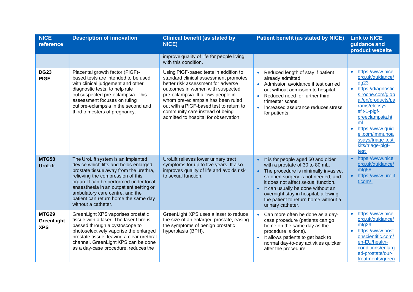| <b>NICE</b><br>reference                 | <b>Description of innovation</b>                                                                                                                                                                                                                                                                                                                  | <b>Clinical benefit (as stated by</b><br>NICE)                                                                                                                                                                                                                                                                                                             | <b>Patient benefit (as stated by NICE)</b>                                                                                                                                                                                                                                                                                           | <b>Link to NICE</b><br>guidance and<br>product website                                                                                                                                                                                                          |
|------------------------------------------|---------------------------------------------------------------------------------------------------------------------------------------------------------------------------------------------------------------------------------------------------------------------------------------------------------------------------------------------------|------------------------------------------------------------------------------------------------------------------------------------------------------------------------------------------------------------------------------------------------------------------------------------------------------------------------------------------------------------|--------------------------------------------------------------------------------------------------------------------------------------------------------------------------------------------------------------------------------------------------------------------------------------------------------------------------------------|-----------------------------------------------------------------------------------------------------------------------------------------------------------------------------------------------------------------------------------------------------------------|
|                                          |                                                                                                                                                                                                                                                                                                                                                   | improve quality of life for people living<br>with this condition.                                                                                                                                                                                                                                                                                          |                                                                                                                                                                                                                                                                                                                                      |                                                                                                                                                                                                                                                                 |
| <b>DG23</b><br><b>PIGF</b>               | Placental growth factor (PIGF)-<br>based tests are intended to be used<br>with clinical judgement and other<br>diagnostic tests, to help rule<br>out suspected pre-eclampsia. This<br>assessment focuses on ruling<br>out pre-eclampsia in the second and<br>third trimesters of pregnancy.                                                       | Using PIGF-based tests in addition to<br>standard clinical assessment promotes<br>better risk assessment for adverse<br>outcomes in women with suspected<br>pre-eclampsia. It allows people in<br>whom pre-eclampsia has been ruled<br>out with a PIGF-based test to return to<br>community care instead of being<br>admitted to hospital for observation. | Reduced length of stay if patient<br>already admitted.<br>Admission avoidance if test carried<br>$\bullet$<br>out without admission to hospital.<br>Reduced need for further third<br>trimester scans.<br>Increased assurance reduces stress<br>for patients.                                                                        | https://www.nice.<br>org.uk/guidance/<br>dq23<br>https://diagnostic<br>s.roche.com/glob<br>al/en/products/pa<br>rams/elecsys-<br>sflt-1-plgf-<br>preeclampsia.ht<br>ml<br>https://www.quid<br>el.com/immunoa<br>ssays/triage-test-<br>kits/triage-plgf-<br>test |
| <b>MTG58</b><br><b>UroLift</b>           | The UroLift system is an implanted<br>device which lifts and holds enlarged<br>prostate tissue away from the urethra,<br>relieving the compression of this<br>organ. It can be performed under local<br>anaesthesia in an outpatient setting or<br>ambulatory care centre, and the<br>patient can return home the same day<br>without a catheter. | UroLift relieves lower urinary tract<br>symptoms for up to five years. It also<br>improves quality of life and avoids risk<br>to sexual function.                                                                                                                                                                                                          | It is for people aged 50 and older<br>with a prostate of 30 to 80 mL.<br>The procedure is minimally invasive,<br>so open surgery is not needed, and<br>it does not affect sexual function.<br>It can usually be done without an<br>overnight stay in hospital, allowing<br>the patient to return home without a<br>urinary catheter. | https://www.nice.<br>org.uk/guidance/<br>mtg58<br>https://www.urolif<br>t.com/                                                                                                                                                                                  |
| <b>MTG29</b><br>GreenLight<br><b>XPS</b> | GreenLight XPS vaporises prostatic<br>tissue with a laser. The laser fibre is<br>passed through a cystoscope to<br>photoselectively vaporise the enlarged<br>prostate tissue, leaving a clear urethral<br>channel. GreenLight XPS can be done<br>as a day-case procedure, reduces the                                                             | GreenLight XPS uses a laser to reduce<br>the size of an enlarged prostate, easing<br>the symptoms of benign prostatic<br>hyperplasia (BPH).                                                                                                                                                                                                                | Can more often be done as a day-<br>case procedure (patients can go<br>home on the same day as the<br>procedure is done).<br>It allows patients to get back to<br>normal day-to-day activities quicker<br>after the procedure.                                                                                                       | https://www.nice.<br>org.uk/guidance/<br>mtg29<br>https://www.bost<br>onscientific.com/<br>en-EU/health-<br>conditions/enlarg<br>ed-prostate/our-<br>treatments/green                                                                                           |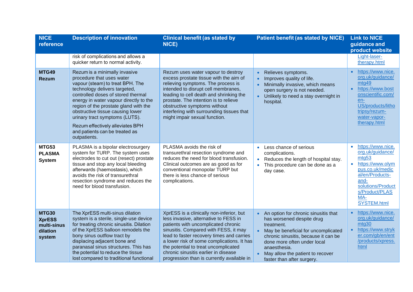| <b>NICE</b><br>reference                                           | <b>Description of innovation</b>                                                                                                                                                                                                                                                                                                                                                                                     | <b>Clinical benefit (as stated by</b><br>NICE)                                                                                                                                                                                                                                                                                                                                             | <b>Patient benefit (as stated by NICE)</b>                                                                                                                                                                                                                                      | <b>Link to NICE</b><br>guidance and<br>product website                                                                                                                                                         |
|--------------------------------------------------------------------|----------------------------------------------------------------------------------------------------------------------------------------------------------------------------------------------------------------------------------------------------------------------------------------------------------------------------------------------------------------------------------------------------------------------|--------------------------------------------------------------------------------------------------------------------------------------------------------------------------------------------------------------------------------------------------------------------------------------------------------------------------------------------------------------------------------------------|---------------------------------------------------------------------------------------------------------------------------------------------------------------------------------------------------------------------------------------------------------------------------------|----------------------------------------------------------------------------------------------------------------------------------------------------------------------------------------------------------------|
|                                                                    | risk of complications and allows a<br>quicker return to normal activity.                                                                                                                                                                                                                                                                                                                                             |                                                                                                                                                                                                                                                                                                                                                                                            |                                                                                                                                                                                                                                                                                 | Light-laser-<br>therapy.html                                                                                                                                                                                   |
| <b>MTG49</b><br><b>Rezum</b>                                       | Rezum is a minimally invasive<br>procedure that uses water<br>vapour (steam) to treat BPH. The<br>technology delivers targeted,<br>controlled doses of stored thermal<br>energy in water vapour directly to the<br>region of the prostate gland with the<br>obstructive tissue causing lower<br>urinary tract symptoms (LUTS).<br>Rezum effectively alleviates BPH<br>and patients can be treated as<br>outpatients. | Rezum uses water vapour to destroy<br>excess prostate tissue with the aim of<br>relieving symptoms. The process is<br>intended to disrupt cell membranes,<br>leading to cell death and shrinking the<br>prostate. The intention is to relieve<br>obstructive symptoms without<br>interfering with surrounding tissues that<br>might impair sexual function.                                | Relieves symptoms.<br>$\bullet$<br>Improves quality of life.<br>$\bullet$<br>Minimally invasive, which means<br>open surgery is not needed.<br>• Unlikely to need a stay overnight in<br>hospital.                                                                              | https://www.nice.<br>org.uk/guidance/<br>mtg49<br>https://www.bost<br>$\bullet$<br>onscientific.com/<br>en-<br>US/products/litho<br>tripsy/rezum-<br>water-vapor-<br>therapy.html                              |
| MTG53<br><b>PLASMA</b><br><b>System</b>                            | PLASMA is a bipolar electrosurgery<br>system for TURP. The system uses<br>electrodes to cut out (resect) prostate<br>tissue and stop any local bleeding<br>afterwards (haemostasis), which<br>avoids the risk of transurethral<br>resection syndrome and reduces the<br>need for blood transfusion.                                                                                                                  | PLASMA avoids the risk of<br>transurethral resection syndrome and<br>reduces the need for blood transfusion.<br>Clinical outcomes are as good as for<br>conventional monopolar TURP but<br>there is less chance of serious<br>complications.                                                                                                                                               | Less chance of serious<br>$\bullet$<br>complications.<br>Reduces the length of hospital stay.<br>This procedure can be done as a<br>day case.                                                                                                                                   | https://www.nice.<br>$\bullet$<br>org.uk/guidance/<br>mtg53<br>https://www.olym<br>$\bullet$<br>pus.co.uk/medic<br>al/en/Products-<br>and-<br>solutions/Product<br>s/Product/PLAS<br>MA-<br><b>SYSTEM.html</b> |
| <b>MTG30</b><br><b>XprESS</b><br>multi-sinus<br>dilation<br>system | The XprESS multi-sinus dilation<br>system is a sterile, single-use device<br>for treating chronic sinusitis. Dilation<br>of the XprESS balloon remodels the<br>bony sinus outflow tract by<br>displacing adjacent bone and<br>paranasal sinus structures. This has<br>the potential to reduce the tissue<br>lost compared to traditional functional                                                                  | XprESS is a clinically non-inferior, but<br>less invasive, alternative to FESS in<br>patients with uncomplicated chronic<br>sinusitis. Compared with FESS, it may<br>lead to faster recovery times and carries<br>a lower risk of some complications. It has<br>the potential to treat uncomplicated<br>chronic sinusitis earlier in disease<br>progression than is currently available in | An option for chronic sinusitis that<br>has worsened despite drug<br>treatment.<br>May be beneficial for uncomplicated<br>chronic sinusitis, because it can be<br>done more often under local<br>anaesthesia.<br>May allow the patient to recover<br>faster than after surgery. | https://www.nice.<br>org.uk/guidance/<br>mtg30<br>https://www.stryk<br>$\bullet$<br>er.com/gb/en/ent<br>/products/xpress.<br>html                                                                              |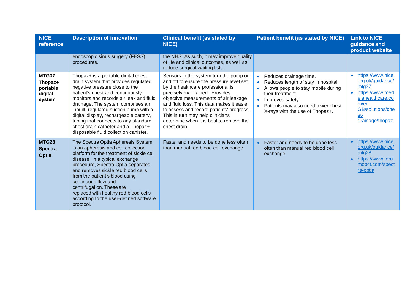| <b>NICE</b><br>reference                          | <b>Description of innovation</b>                                                                                                                                                                                                                                                                                                                                                                                                             | <b>Clinical benefit (as stated by</b><br>NICE)                                                                                                                                                                                                                                                                                                                                             | <b>Patient benefit (as stated by NICE)</b>                                                                                                                                                                                         | <b>Link to NICE</b><br>guidance and<br>product website                                                                                                      |
|---------------------------------------------------|----------------------------------------------------------------------------------------------------------------------------------------------------------------------------------------------------------------------------------------------------------------------------------------------------------------------------------------------------------------------------------------------------------------------------------------------|--------------------------------------------------------------------------------------------------------------------------------------------------------------------------------------------------------------------------------------------------------------------------------------------------------------------------------------------------------------------------------------------|------------------------------------------------------------------------------------------------------------------------------------------------------------------------------------------------------------------------------------|-------------------------------------------------------------------------------------------------------------------------------------------------------------|
|                                                   | endoscopic sinus surgery (FESS)<br>procedures.                                                                                                                                                                                                                                                                                                                                                                                               | the NHS. As such, it may improve quality<br>of life and clinical outcomes, as well as<br>reduce surgical waiting lists.                                                                                                                                                                                                                                                                    |                                                                                                                                                                                                                                    |                                                                                                                                                             |
| MTG37<br>Thopaz+<br>portable<br>digital<br>system | Thopaz+ is a portable digital chest<br>drain system that provides regulated<br>negative pressure close to the<br>patient's chest and continuously<br>monitors and records air leak and fluid<br>drainage. The system comprises an<br>inbuilt, regulated suction pump with a<br>digital display, rechargeable battery,<br>tubing that connects to any standard<br>chest drain catheter and a Thopaz+<br>disposable fluid collection canister. | Sensors in the system turn the pump on<br>and off to ensure the pressure level set<br>by the healthcare professional is<br>precisely maintained. Provides<br>objective measurements of air leakage<br>and fluid loss. This data makes it easier<br>to assess and record patients' progress.<br>This in turn may help clinicians<br>determine when it is best to remove the<br>chest drain. | Reduces drainage time.<br>$\bullet$<br>Reduces length of stay in hospital.<br>Allows people to stay mobile during<br>their treatment.<br>Improves safety.<br>Patients may also need fewer chest<br>X-rays with the use of Thopaz+. | https://www.nice.<br>org.uk/guidance/<br>m <sub>tg</sub> 37<br>https://www.med<br>elahealthcare.co<br>m/en-<br>GB/solutions/che<br>$st-$<br>drainage/thopaz |
| <b>MTG28</b><br><b>Spectra</b><br><b>Optia</b>    | The Spectra Optia Apheresis System<br>is an apheresis and cell collection<br>platform for the treatment of sickle cell<br>disease. In a typical exchange<br>procedure, Spectra Optia separates<br>and removes sickle red blood cells<br>from the patient's blood using<br>continuous flow and<br>centrifugation. These are<br>replaced with healthy red blood cells<br>according to the user-defined software<br>protocol.                   | Faster and needs to be done less often<br>than manual red blood cell exchange.                                                                                                                                                                                                                                                                                                             | Faster and needs to be done less<br>often than manual red blood cell<br>exchange.                                                                                                                                                  | https://www.nice.<br>$\bullet$<br>org.uk/guidance/<br>mta28<br>https://www.teru<br>mobct.com/spect<br>ra-optia                                              |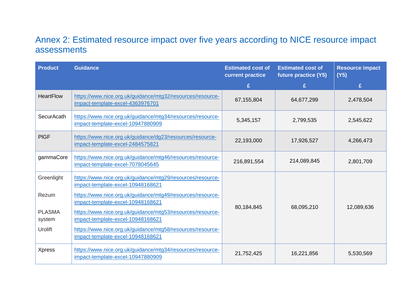## Annex 2: Estimated resource impact over five years according to NICE resource impact assessments

<span id="page-27-1"></span><span id="page-27-0"></span>

| <b>Product</b>          | <b>Guidance</b>                                                                                 | <b>Estimated cost of</b><br>current practice | <b>Estimated cost of</b><br>future practice (Y5) | <b>Resource impact</b><br>(Y5) |
|-------------------------|-------------------------------------------------------------------------------------------------|----------------------------------------------|--------------------------------------------------|--------------------------------|
|                         |                                                                                                 | £                                            | £                                                | £                              |
| <b>HeartFlow</b>        | https://www.nice.org.uk/guidance/mtg32/resources/resource-<br>impact-template-excel-4363976701  | 67,155,804                                   | 64,677,299                                       | 2,478,504                      |
| <b>SecurAcath</b>       | https://www.nice.org.uk/guidance/mtg34/resources/resource-<br>impact-template-excel-10947880909 | 5,345,157                                    | 2,799,535                                        | 2,545,622                      |
| <b>PIGF</b>             | https://www.nice.org.uk/guidance/dg23/resources/resource-<br>impact-template-excel-2484575821   | 22,193,000                                   | 17,926,527                                       | 4,266,473                      |
| gammaCore               | https://www.nice.org.uk/guidance/mtg46/resources/resource-<br>impact-template-excel-7078045645  | 216,891,554                                  | 214,089,845                                      | 2,801,709                      |
| Greenlight              | https://www.nice.org.uk/guidance/mtg29/resources/resource-<br>impact-template-excel-10948168621 |                                              |                                                  |                                |
| Rezum                   | https://www.nice.org.uk/guidance/mtg49/resources/resource-<br>impact-template-excel-10948168621 | 80,184,845                                   | 68,095,210                                       | 12,089,636                     |
| <b>PLASMA</b><br>system | https://www.nice.org.uk/guidance/mtg53/resources/resource-<br>impact-template-excel-10948168621 |                                              |                                                  |                                |
| <b>Urolift</b>          | https://www.nice.org.uk/guidance/mtg58/resources/resource-<br>impact-template-excel-10948168621 |                                              |                                                  |                                |
| <b>Xpress</b>           | https://www.nice.org.uk/guidance/mtg34/resources/resource-<br>impact-template-excel-10947880909 | 21,752,425                                   | 16,221,856                                       | 5,530,569                      |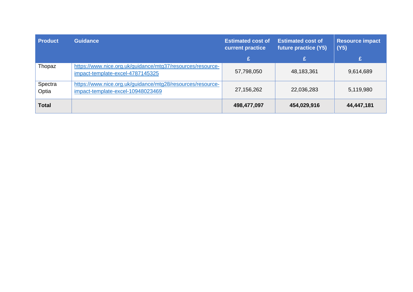| <b>Product</b>   | <b>Guidance</b>                                                                                 | <b>Estimated cost of</b><br>current practice | <b>Estimated cost of</b><br>future practice (Y5) | <b>Resource impact</b><br>(Y5) |
|------------------|-------------------------------------------------------------------------------------------------|----------------------------------------------|--------------------------------------------------|--------------------------------|
|                  |                                                                                                 | £                                            | £                                                | £                              |
| Thopaz           | https://www.nice.org.uk/guidance/mtg37/resources/resource-<br>impact-template-excel-4787145325  | 57,798,050                                   | 48,183,361                                       | 9,614,689                      |
| Spectra<br>Optia | https://www.nice.org.uk/guidance/mtg28/resources/resource-<br>impact-template-excel-10948023469 | 27,156,262                                   | 22,036,283                                       | 5,119,980                      |
| <b>Total</b>     |                                                                                                 | 498,477,097                                  | 454,029,916                                      | 44,447,181                     |